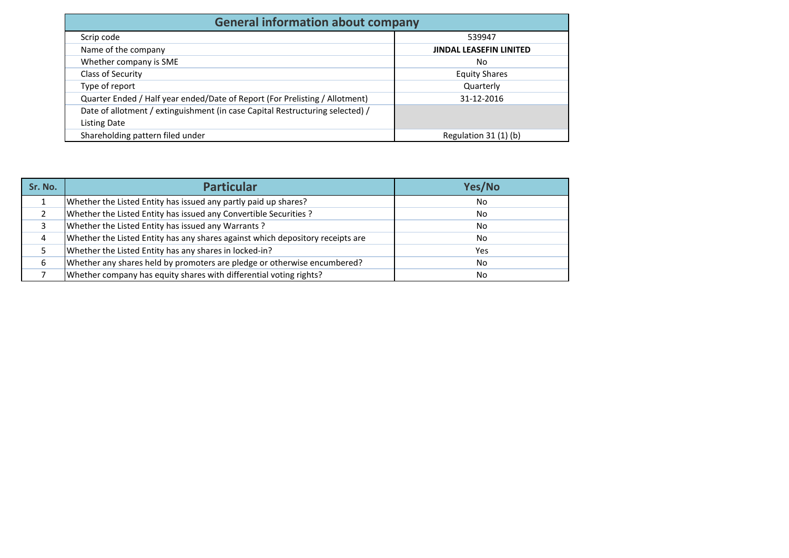| <b>General information about company</b>                                      |                                |
|-------------------------------------------------------------------------------|--------------------------------|
| Scrip code                                                                    | 539947                         |
| Name of the company                                                           | <b>JINDAL LEASEFIN LINITED</b> |
| Whether company is SME                                                        | No                             |
| Class of Security                                                             | <b>Equity Shares</b>           |
| Type of report                                                                | Quarterly                      |
| Quarter Ended / Half year ended/Date of Report (For Prelisting / Allotment)   | 31-12-2016                     |
| Date of allotment / extinguishment (in case Capital Restructuring selected) / |                                |
| Listing Date                                                                  |                                |
| Shareholding pattern filed under                                              | Regulation $31(1)(b)$          |

| Sr. No. | <b>Particular</b>                                                              | Yes/No |
|---------|--------------------------------------------------------------------------------|--------|
|         | Whether the Listed Entity has issued any partly paid up shares?                | No.    |
|         | Whether the Listed Entity has issued any Convertible Securities ?              | No.    |
|         | Whether the Listed Entity has issued any Warrants?                             | No.    |
|         | Whether the Listed Entity has any shares against which depository receipts are | No.    |
|         | Whether the Listed Entity has any shares in locked-in?                         | Yes    |
|         | Whether any shares held by promoters are pledge or otherwise encumbered?       | No.    |
|         | Whether company has equity shares with differential voting rights?             | No.    |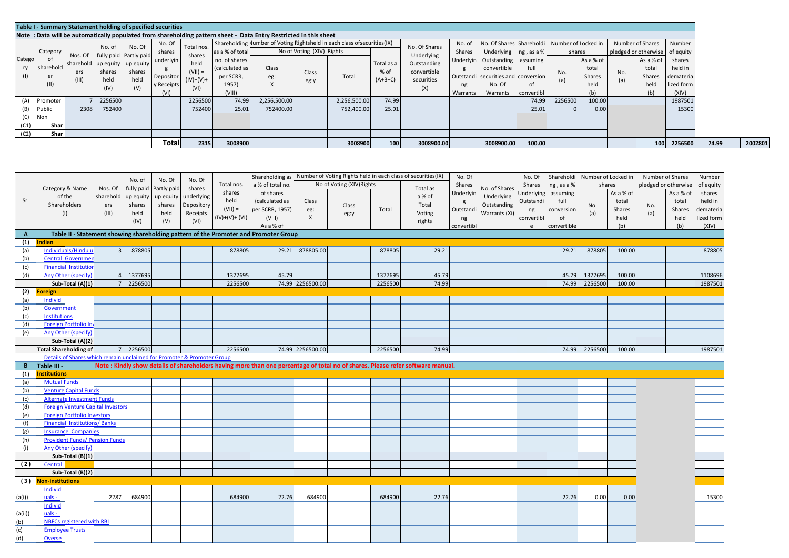|              | Table I - Summary Statement holding of specified securities |                         |                        |                                                        |                                              |                                          |                                                                 |                                                                                                                  |                           |                                                                           |                                 |                                                 |                  |                                                                                                            |                          |            |                                      |                                                    |                                             |                                                       |  |
|--------------|-------------------------------------------------------------|-------------------------|------------------------|--------------------------------------------------------|----------------------------------------------|------------------------------------------|-----------------------------------------------------------------|------------------------------------------------------------------------------------------------------------------|---------------------------|---------------------------------------------------------------------------|---------------------------------|-------------------------------------------------|------------------|------------------------------------------------------------------------------------------------------------|--------------------------|------------|--------------------------------------|----------------------------------------------------|---------------------------------------------|-------------------------------------------------------|--|
|              |                                                             |                         |                        |                                                        |                                              |                                          |                                                                 | Note: Data will be automatically populated from shareholding pattern sheet - Data Entry Restricted in this sheet |                           |                                                                           |                                 |                                                 |                  |                                                                                                            |                          |            |                                      |                                                    |                                             |                                                       |  |
|              | Category                                                    |                         | No. of                 | No. Of<br>fully paid Partly paid-                      | No. Of<br>shares                             | Total nos.<br>shares                     | as a % of total                                                 |                                                                                                                  | No of Voting (XIV) Rights | Shareholding Number of Voting Rightsheld in each class of securities (IX) |                                 | No. Of Shares<br>Underlying                     | No. of<br>Shares | No. Of Shares Shareholdi<br>Underlying   ng, as a %                                                        |                          |            | Number of Locked in<br>shares        | Number of Shares<br>pledged or otherwise of equity |                                             | Number                                                |  |
| Catego<br>ry | sharehold<br>er                                             | Nos. Of<br>ers<br>(III) | shares<br>held<br>(IV) | sharehold up equity up equity<br>shares<br>held<br>(V) | underlyin<br>Depositor<br>y Receipts<br>(VI) | held<br>$(VII) =$<br>$(IV)+(V)+$<br>(VI) | no. of shares<br>(calculated as<br>per SCRR,<br>1957)<br>(VIII) | Class<br>eg:                                                                                                     | Class<br>eg:y             | Total                                                                     | Total as a<br>% of<br>$(A+B+C)$ | Outstanding<br>convertible<br>securities<br>(X) | ng<br>Warrants   | Underlyin Outstanding assuming<br>convertible<br>Outstandi securities and conversion<br>No. Of<br>Warrants | full<br>01<br>convertibl | No.<br>(a) | As a % of<br>total<br>Shares<br>held | No.<br>(a)                                         | As a % of<br>total<br>Shares<br>held<br>(b) | shares<br>held in<br>demateria<br>lized form<br>(XIV) |  |
| (A)          | Promoter                                                    |                         | 2256500                |                                                        |                                              | 2256500                                  | 74.99                                                           | 2,256,500.00                                                                                                     |                           | 2,256,500.00                                                              | 74.99                           |                                                 |                  |                                                                                                            | 74.99                    | 2256500    | 100.00                               |                                                    |                                             | 1987501                                               |  |
| (B)          | Public                                                      | 2308                    | 752400                 |                                                        |                                              | 752400                                   | 25.01                                                           | 752400.00                                                                                                        |                           | 752,400.00                                                                | 25.01                           |                                                 |                  |                                                                                                            | 25.01                    |            | 0.00                                 |                                                    |                                             | 15300                                                 |  |
| (C)          | Non                                                         |                         |                        |                                                        |                                              |                                          |                                                                 |                                                                                                                  |                           |                                                                           |                                 |                                                 |                  |                                                                                                            |                          |            |                                      |                                                    |                                             |                                                       |  |
| (C1)         | Shar                                                        |                         |                        |                                                        |                                              |                                          |                                                                 |                                                                                                                  |                           |                                                                           |                                 |                                                 |                  |                                                                                                            |                          |            |                                      |                                                    |                                             |                                                       |  |
| (C2)         | Shar                                                        |                         |                        |                                                        |                                              |                                          |                                                                 |                                                                                                                  |                           |                                                                           |                                 |                                                 |                  |                                                                                                            |                          |            |                                      |                                                    |                                             |                                                       |  |
|              |                                                             |                         |                        |                                                        | Total                                        | 2315                                     | 3008900                                                         |                                                                                                                  |                           | 3008900                                                                   | 100                             | 3008900.00                                      |                  | 3008900.00                                                                                                 | 100.00                   |            |                                      |                                                    | 100                                         | 2256500                                               |  |

|              |                                                                                      |                | No. of    | No. Of                 | No. Of     |                | Shareholding as  |                  |                           |         | Number of Voting Rights held in each class of securities(IX)                                                                   | No. Of    |               | No. Of     | Shareholdi Number of Locked in |         |           |     | Number of Shares     | Number     |
|--------------|--------------------------------------------------------------------------------------|----------------|-----------|------------------------|------------|----------------|------------------|------------------|---------------------------|---------|--------------------------------------------------------------------------------------------------------------------------------|-----------|---------------|------------|--------------------------------|---------|-----------|-----|----------------------|------------|
|              | Category & Name                                                                      | Nos. Of        |           | fully paid Partly paid | shares     | Total nos.     | a % of total no. |                  | No of Voting (XIV) Rights |         | Total as                                                                                                                       | Shares    | No. of Shares | Shares     | ng, as a %                     |         | shares    |     | pledged or otherwise | of equity  |
|              | of the                                                                               | sharehold      | up equity | up equity              | underlying | shares         | of shares        |                  |                           |         | a % of                                                                                                                         | Underlyin | Underlying    | Underlying | assuming                       |         | As a % of |     | As a % of            | shares     |
| Sr.          | Shareholders                                                                         | ers            | shares    | shares                 | Depository | held           | (calculated as   | Class            |                           |         | Total                                                                                                                          | g         | Outstanding   | Outstandi  | full                           |         | total     |     | total                | held in    |
|              |                                                                                      | (III)          | held      | held                   | Receipts   | $(VII) =$      | per SCRR, 1957)  | eg:              | Class                     | Total   | Voting                                                                                                                         | Outstand  | Warrants (Xi) | ng         | conversion                     | No.     | Shares    | No. | Shares               | demateria  |
|              | (1)                                                                                  |                | (IV)      | (V)                    | (VI)       | $(IV)+(V)+(V)$ | (VIII)           | X                | eg:y                      |         | rights                                                                                                                         | ng        |               | convertibl | of                             | (a)     | held      | (a) | held                 | lized form |
|              |                                                                                      |                |           |                        |            |                | As a % of        |                  |                           |         |                                                                                                                                | convertib |               | e          | convertible                    |         | (b)       |     | (b)                  | (XIV)      |
| $\mathbf{A}$ | Table II - Statement showing shareholding pattern of the Promoter and Promoter Group |                |           |                        |            |                |                  |                  |                           |         |                                                                                                                                |           |               |            |                                |         |           |     |                      |            |
| (1)          | ndian                                                                                |                |           |                        |            |                |                  |                  |                           |         |                                                                                                                                |           |               |            |                                |         |           |     |                      |            |
| (a)          | Individuals/Hindu u                                                                  |                | 878805    |                        |            | 878805         | 29.21            | 878805.00        |                           | 878805  | 29.21                                                                                                                          |           |               |            | 29.21                          | 878805  | 100.00    |     |                      | 878805     |
| (b)          | Central Governm                                                                      |                |           |                        |            |                |                  |                  |                           |         |                                                                                                                                |           |               |            |                                |         |           |     |                      |            |
| (c)          | <b>Financial Institution</b>                                                         |                |           |                        |            |                |                  |                  |                           |         |                                                                                                                                |           |               |            |                                |         |           |     |                      |            |
| (d)          | Any Other (specify)                                                                  |                | 1377695   |                        |            | 1377695        | 45.79            |                  |                           | 1377695 | 45.79                                                                                                                          |           |               |            | 45.79                          | 1377695 | 100.00    |     |                      | 1108696    |
|              | Sub-Total (A)(1)                                                                     |                | 2256500   |                        |            | 2256500        |                  | 74.99 2256500.00 |                           | 2256500 | 74.99                                                                                                                          |           |               |            | 74.99                          | 2256500 | 100.00    |     |                      | 1987501    |
| (2)          | oreign                                                                               |                |           |                        |            |                |                  |                  |                           |         |                                                                                                                                |           |               |            |                                |         |           |     |                      |            |
| (a)          | Individ                                                                              |                |           |                        |            |                |                  |                  |                           |         |                                                                                                                                |           |               |            |                                |         |           |     |                      |            |
| (b)          | Government                                                                           |                |           |                        |            |                |                  |                  |                           |         |                                                                                                                                |           |               |            |                                |         |           |     |                      |            |
| (c)          | <b>Institutions</b>                                                                  |                |           |                        |            |                |                  |                  |                           |         |                                                                                                                                |           |               |            |                                |         |           |     |                      |            |
| (d)          | Foreign Portfolio In                                                                 |                |           |                        |            |                |                  |                  |                           |         |                                                                                                                                |           |               |            |                                |         |           |     |                      |            |
| (e)          | Any Other (specify                                                                   |                |           |                        |            |                |                  |                  |                           |         |                                                                                                                                |           |               |            |                                |         |           |     |                      |            |
|              | Sub-Total (A)(2)                                                                     |                |           |                        |            |                |                  |                  |                           |         |                                                                                                                                |           |               |            |                                |         |           |     |                      |            |
|              | <b>Total Shareholding of</b>                                                         | 7 <sup>1</sup> | 2256500   |                        |            | 2256500        |                  | 74.99 2256500.00 |                           | 2256500 | 74.99                                                                                                                          |           |               |            | 74.99                          | 2256500 | 100.00    |     |                      | 1987501    |
|              |                                                                                      |                |           |                        |            |                |                  |                  |                           |         |                                                                                                                                |           |               |            |                                |         |           |     |                      |            |
|              | Details of Shares which remain unclaimed for Promoter & Promoter Group               |                |           |                        |            |                |                  |                  |                           |         |                                                                                                                                |           |               |            |                                |         |           |     |                      |            |
| B            | Table III -                                                                          |                |           |                        |            |                |                  |                  |                           |         | Note: Kindly show details of shareholders having more than one percentage of total no of shares. Please refer software manual. |           |               |            |                                |         |           |     |                      |            |
| (1)          | <b>nstitutions</b>                                                                   |                |           |                        |            |                |                  |                  |                           |         |                                                                                                                                |           |               |            |                                |         |           |     |                      |            |
| (a)          | <b>Mutual Funds</b>                                                                  |                |           |                        |            |                |                  |                  |                           |         |                                                                                                                                |           |               |            |                                |         |           |     |                      |            |
| (b)          | <b>Venture Capital Funds</b>                                                         |                |           |                        |            |                |                  |                  |                           |         |                                                                                                                                |           |               |            |                                |         |           |     |                      |            |
| (c)          | <b>Alternate Investment Funds</b>                                                    |                |           |                        |            |                |                  |                  |                           |         |                                                                                                                                |           |               |            |                                |         |           |     |                      |            |
| (d)          | <b>Foreign Venture Capital Investors</b>                                             |                |           |                        |            |                |                  |                  |                           |         |                                                                                                                                |           |               |            |                                |         |           |     |                      |            |
| (e)          | <b>Foreign Portfolio Investors</b>                                                   |                |           |                        |            |                |                  |                  |                           |         |                                                                                                                                |           |               |            |                                |         |           |     |                      |            |
| (f)          | <b>Financial Institutions/Banks</b>                                                  |                |           |                        |            |                |                  |                  |                           |         |                                                                                                                                |           |               |            |                                |         |           |     |                      |            |
| (g)          | <b>Insurance Companies</b>                                                           |                |           |                        |            |                |                  |                  |                           |         |                                                                                                                                |           |               |            |                                |         |           |     |                      |            |
| (h)          | <b>Provident Funds/ Pension Funds</b>                                                |                |           |                        |            |                |                  |                  |                           |         |                                                                                                                                |           |               |            |                                |         |           |     |                      |            |
| (i)          | Any Other (specify)                                                                  |                |           |                        |            |                |                  |                  |                           |         |                                                                                                                                |           |               |            |                                |         |           |     |                      |            |
|              | Sub-Total (B)(1)                                                                     |                |           |                        |            |                |                  |                  |                           |         |                                                                                                                                |           |               |            |                                |         |           |     |                      |            |
| (2)          | Central                                                                              |                |           |                        |            |                |                  |                  |                           |         |                                                                                                                                |           |               |            |                                |         |           |     |                      |            |
|              | Sub-Total (B)(2)                                                                     |                |           |                        |            |                |                  |                  |                           |         |                                                                                                                                |           |               |            |                                |         |           |     |                      |            |
|              | (3) Non-institutions                                                                 |                |           |                        |            |                |                  |                  |                           |         |                                                                                                                                |           |               |            |                                |         |           |     |                      |            |
|              | Individ                                                                              |                |           |                        |            |                |                  |                  |                           |         |                                                                                                                                |           |               |            |                                |         |           |     |                      |            |
| (a(i))       | uals -                                                                               | 2287           | 684900    |                        |            | 684900         | 22.76            | 684900           |                           | 684900  | 22.76                                                                                                                          |           |               |            | 22.76                          | 0.00    | 0.00      |     |                      | 15300      |
|              | <b>Individ</b>                                                                       |                |           |                        |            |                |                  |                  |                           |         |                                                                                                                                |           |               |            |                                |         |           |     |                      |            |
| (a(ii))      | uals -                                                                               |                |           |                        |            |                |                  |                  |                           |         |                                                                                                                                |           |               |            |                                |         |           |     |                      |            |
| (b)          | NBFCs registered with RBI                                                            |                |           |                        |            |                |                  |                  |                           |         |                                                                                                                                |           |               |            |                                |         |           |     |                      |            |
| (c)          | <b>Employee Trusts</b>                                                               |                |           |                        |            |                |                  |                  |                           |         |                                                                                                                                |           |               |            |                                |         |           |     |                      |            |